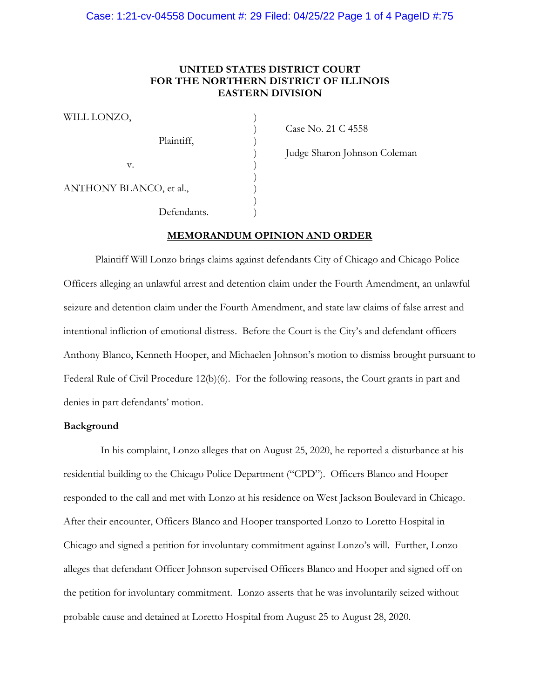## **UNITED STATES DISTRICT COURT FOR THE NORTHERN DISTRICT OF ILLINOIS EASTERN DIVISION**

WILL LONZO,

Plaintiff, )  $\mathbf{v}$ .  $\qquad \qquad$  ) ) Case No. 21 C 4558

) Judge Sharon Johnson Coleman

ANTHONY BLANCO, et al.,

Defendants.

### **MEMORANDUM OPINION AND ORDER**

)

)

Plaintiff Will Lonzo brings claims against defendants City of Chicago and Chicago Police Officers alleging an unlawful arrest and detention claim under the Fourth Amendment, an unlawful seizure and detention claim under the Fourth Amendment, and state law claims of false arrest and intentional infliction of emotional distress. Before the Court is the City's and defendant officers Anthony Blanco, Kenneth Hooper, and Michaelen Johnson's motion to dismiss brought pursuant to Federal Rule of Civil Procedure 12(b)(6). For the following reasons, the Court grants in part and denies in part defendants' motion.

## **Background**

 In his complaint, Lonzo alleges that on August 25, 2020, he reported a disturbance at his residential building to the Chicago Police Department ("CPD"). Officers Blanco and Hooper responded to the call and met with Lonzo at his residence on West Jackson Boulevard in Chicago. After their encounter, Officers Blanco and Hooper transported Lonzo to Loretto Hospital in Chicago and signed a petition for involuntary commitment against Lonzo's will. Further, Lonzo alleges that defendant Officer Johnson supervised Officers Blanco and Hooper and signed off on the petition for involuntary commitment. Lonzo asserts that he was involuntarily seized without probable cause and detained at Loretto Hospital from August 25 to August 28, 2020.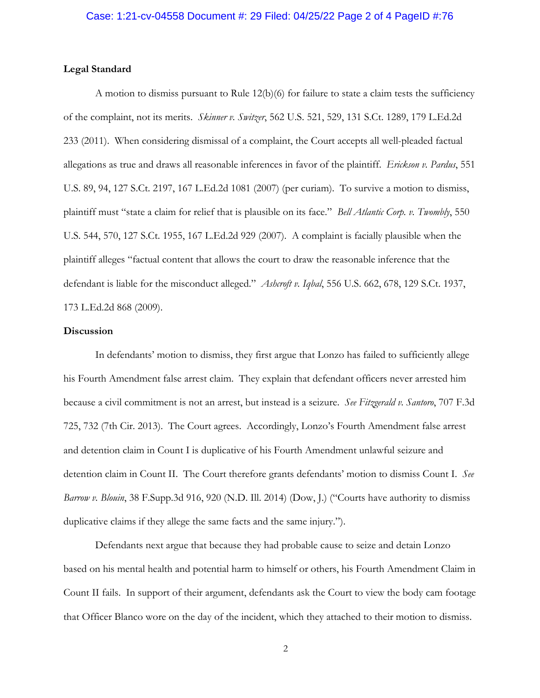#### **Legal Standard**

A motion to dismiss pursuant to Rule 12(b)(6) for failure to state a claim tests the sufficiency of the complaint, not its merits. *Skinner v. Switzer*, 562 U.S. 521, 529, 131 S.Ct. 1289, 179 L.Ed.2d 233 (2011). When considering dismissal of a complaint, the Court accepts all well-pleaded factual allegations as true and draws all reasonable inferences in favor of the plaintiff. *Erickson v. Pardus*, 551 U.S. 89, 94, 127 S.Ct. 2197, 167 L.Ed.2d 1081 (2007) (per curiam). To survive a motion to dismiss, plaintiff must "state a claim for relief that is plausible on its face." *Bell Atlantic Corp. v. Twombly*, 550 U.S. 544, 570, 127 S.Ct. 1955, 167 L.Ed.2d 929 (2007). A complaint is facially plausible when the plaintiff alleges "factual content that allows the court to draw the reasonable inference that the defendant is liable for the misconduct alleged." *Ashcroft v. Iqbal*, 556 U.S. 662, 678, 129 S.Ct. 1937, 173 L.Ed.2d 868 (2009).

#### **Discussion**

In defendants' motion to dismiss, they first argue that Lonzo has failed to sufficiently allege his Fourth Amendment false arrest claim. They explain that defendant officers never arrested him because a civil commitment is not an arrest, but instead is a seizure. *See Fitzgerald v. Santoro*, 707 F.3d 725, 732 (7th Cir. 2013). The Court agrees. Accordingly, Lonzo's Fourth Amendment false arrest and detention claim in Count I is duplicative of his Fourth Amendment unlawful seizure and detention claim in Count II. The Court therefore grants defendants' motion to dismiss Count I. *See Barrow v. Blouin*, 38 F.Supp.3d 916, 920 (N.D. Ill. 2014) (Dow, J.) ("Courts have authority to dismiss duplicative claims if they allege the same facts and the same injury.").

Defendants next argue that because they had probable cause to seize and detain Lonzo based on his mental health and potential harm to himself or others, his Fourth Amendment Claim in Count II fails. In support of their argument, defendants ask the Court to view the body cam footage that Officer Blanco wore on the day of the incident, which they attached to their motion to dismiss.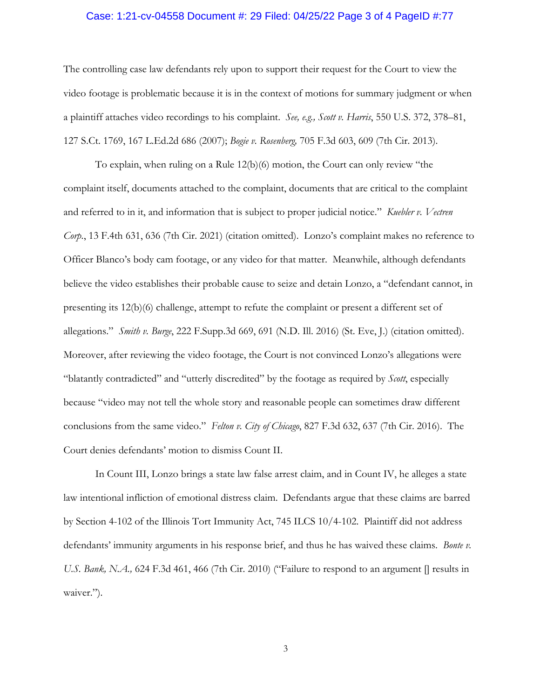#### Case: 1:21-cv-04558 Document #: 29 Filed: 04/25/22 Page 3 of 4 PageID #:77

The controlling case law defendants rely upon to support their request for the Court to view the video footage is problematic because it is in the context of motions for summary judgment or when a plaintiff attaches video recordings to his complaint. *See, e.g., Scott v. Harris*, 550 U.S. 372, 378–81, 127 S.Ct. 1769, 167 L.Ed.2d 686 (2007); *Bogie v. Rosenberg,* 705 F.3d 603, 609 (7th Cir. 2013).

To explain, when ruling on a Rule 12(b)(6) motion, the Court can only review "the complaint itself, documents attached to the complaint, documents that are critical to the complaint and referred to in it, and information that is subject to proper judicial notice." *Kuebler v. Vectren Corp.*, 13 F.4th 631, 636 (7th Cir. 2021) (citation omitted). Lonzo's complaint makes no reference to Officer Blanco's body cam footage, or any video for that matter. Meanwhile, although defendants believe the video establishes their probable cause to seize and detain Lonzo, a "defendant cannot, in presenting its 12(b)(6) challenge, attempt to refute the complaint or present a different set of allegations." *Smith v. Burge*, 222 F.Supp.3d 669, 691 (N.D. Ill. 2016) (St. Eve, J.) (citation omitted). Moreover, after reviewing the video footage, the Court is not convinced Lonzo's allegations were "blatantly contradicted" and "utterly discredited" by the footage as required by *Scott*, especially because "video may not tell the whole story and reasonable people can sometimes draw different conclusions from the same video." *Felton v. City of Chicago*, 827 F.3d 632, 637 (7th Cir. 2016). The Court denies defendants' motion to dismiss Count II.

In Count III, Lonzo brings a state law false arrest claim, and in Count IV, he alleges a state law intentional infliction of emotional distress claim. Defendants argue that these claims are barred by Section 4-102 of the Illinois Tort Immunity Act, 745 ILCS 10/4-102. Plaintiff did not address defendants' immunity arguments in his response brief, and thus he has waived these claims. *Bonte v. U.S. Bank, N.A.,* 624 F.3d 461, 466 (7th Cir. 2010) ("Failure to respond to an argument  $\parallel$  results in waiver.").

3